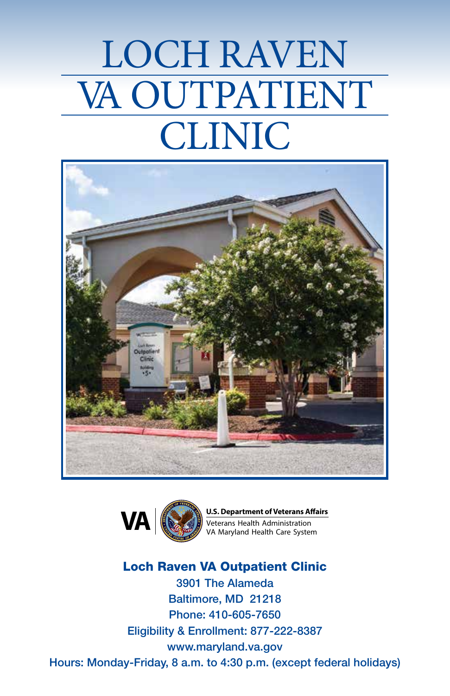# LOCH RAVEN VA OUTPATIENT CLINIC





**U.S. Department of Veterans Affairs VA**  $\left(\bigotimes$  Veterans Health Administration

Loch Raven VA Outpatient Clinic 3901 The Alameda Baltimore, MD 21218 Phone: 410-605-7650 Eligibility & Enrollment: 877-222-8387 www.maryland.va.gov Hours: Monday-Friday, 8 a.m. to 4:30 p.m. (except federal holidays)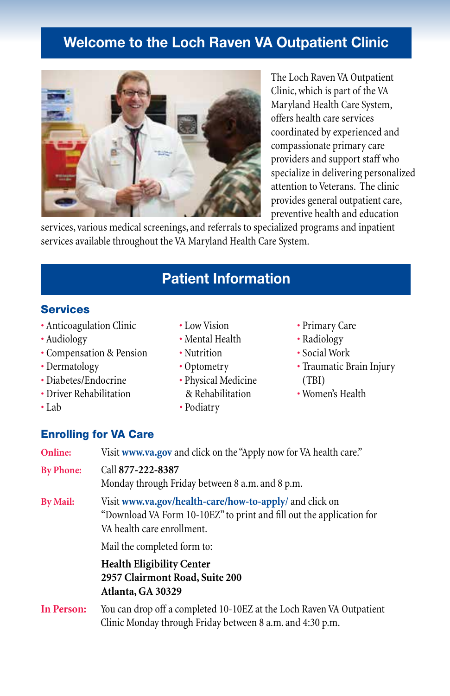# **Welcome to the Loch Raven VA Outpatient Clinic**



The Loch Raven VA Outpatient Clinic, which is part of the VA Maryland Health Care System, offers health care services coordinated by experienced and compassionate primary care providers and support staff who specialize in delivering personalized attention to Veterans. The clinic provides general outpatient care, preventive health and education

services, various medical screenings, and referrals to specialized programs and inpatient services available throughout the VA Maryland Health Care System.

# **Patient Information**

#### **Services**

- Anticoagulation Clinic
- Audiology
- Compensation & Pension
- Dermatology
- Diabetes/Endocrine
- Driver Rehabilitation
- Lab
- Low Vision
- Mental Health
- Nutrition
- Optometry
- Physical Medicine & Rehabilitation
- Podiatry
- Primary Care
- Radiology
- Social Work
- Traumatic Brain Injury (TBI)
- Women's Health

## Enrolling for VA Care

| Online:          | Visit www.va.gov and click on the "Apply now for VA health care."                                                                                             |
|------------------|---------------------------------------------------------------------------------------------------------------------------------------------------------------|
| <b>By Phone:</b> | Call 877-222-8387<br>Monday through Friday between 8 a.m. and 8 p.m.                                                                                          |
| <b>By Mail:</b>  | Visit www.va.gov/health-care/how-to-apply/ and click on<br>"Download VA Form 10-10EZ" to print and fill out the application for<br>VA health care enrollment. |
|                  | Mail the completed form to:                                                                                                                                   |
|                  | <b>Health Eligibility Center</b><br>2957 Clairmont Road, Suite 200<br>Atlanta, GA 30329                                                                       |
| In Person:       | You can drop off a completed 10-10EZ at the Loch Raven VA Outpatient<br>Clinic Monday through Friday between 8 a.m. and 4:30 p.m.                             |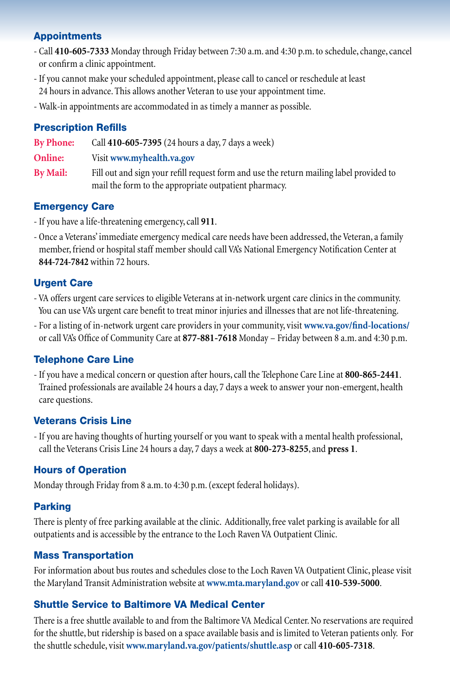#### Appointments

- Call **410-605-7333** Monday through Friday between 7:30 a.m. and 4:30 p.m. to schedule, change, cancel or confirm a clinic appointment.
- If you cannot make your scheduled appointment, please call to cancel or reschedule at least 24 hours in advance. This allows another Veteran to use your appointment time.
- Walk-in appointments are accommodated in as timely a manner as possible.

#### Prescription Refills

**By Phone:** Call **410-605-7395** (24 hours a day, 7 days a week)

**Online:** Visit **www.myhealth.va.gov**

**By Mail:** Fill out and sign your refill request form and use the return mailing label provided to mail the form to the appropriate outpatient pharmacy.

#### Emergency Care

- If you have a life-threatening emergency, call **911**.
- Once a Veterans' immediate emergency medical care needs have been addressed, the Veteran, a family member, friend or hospital staff member should call VA's National Emergency Notification Center at **844-724-7842** within 72 hours.

#### Urgent Care

- VA offers urgent care services to eligible Veterans at in-network urgent care clinics in the community. You can use VA's urgent care benefit to treat minor injuries and illnesses that are not life-threatening.
- For a listing of in-network urgent care providers in your community, visit **www.va.gov/find-locations/** or call VA's Office of Community Care at **877-881-7618** Monday – Friday between 8 a.m. and 4:30 p.m.

#### Telephone Care Line

- If you have a medical concern or question after hours, call the Telephone Care Line at **800-865-2441**. Trained professionals are available 24 hours a day, 7 days a week to answer your non-emergent, health care questions.

#### Veterans Crisis Line

- If you are having thoughts of hurting yourself or you want to speak with a mental health professional, call the Veterans Crisis Line 24 hours a day, 7 days a week at **800-273-8255**, and **press 1**.

#### Hours of Operation

Monday through Friday from 8 a.m. to 4:30 p.m. (except federal holidays).

#### Parking

There is plenty of free parking available at the clinic. Additionally, free valet parking is available for all outpatients and is accessible by the entrance to the Loch Raven VA Outpatient Clinic.

#### Mass Transportation

For information about bus routes and schedules close to the Loch Raven VA Outpatient Clinic, please visit the Maryland Transit Administration website at **www.mta.maryland.gov** or call **410-539-5000**.

### Shuttle Service to Baltimore VA Medical Center

There is a free shuttle available to and from the Baltimore VA Medical Center. No reservations are required for the shuttle, but ridership is based on a space available basis and is limited to Veteran patients only. For the shuttle schedule, visit **www.maryland.va.gov/patients/shuttle.asp** or call **410-605-7318**.